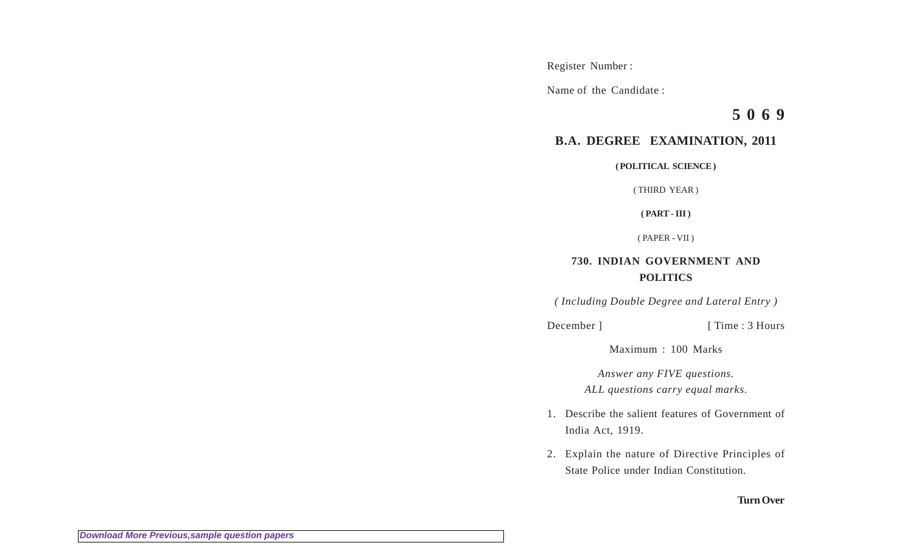Register Number :

Name of the Candidate :

**5 0 6 9**

## **B.A. DEGREE EXAMINATION, 2011**

**( POLITICAL SCIENCE )**

( THIRD YEAR )

**( PART - III )**

( PAPER - VII )

## **730. INDIAN GOVERNMENT AND POLITICS**

*( Including Double Degree and Lateral Entry )*

December ] [ Time : 3 Hours

Maximum : 100 Marks

*Answer any FIVE questions. ALL questions carry equal marks.*

- 1. Describe the salient features of Government of India Act, 1919.
- 2. Explain the nature of Directive Principles of State Police under Indian Constitution.

## **Turn Over**